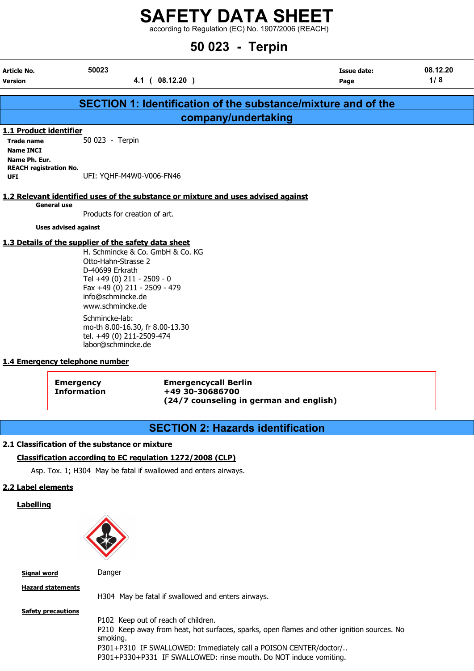according to Regulation (EC) No. 1907/2006 (REACH)

## 50 023 - Terpin

| <b>Article No.</b>            | 50023                                                                             | Issue date: | 08.12.20 |
|-------------------------------|-----------------------------------------------------------------------------------|-------------|----------|
| <b>Version</b>                | 4.1 ( 08.12.20 )                                                                  | Page        | 1/8      |
|                               |                                                                                   |             |          |
|                               | SECTION 1: Identification of the substance/mixture and of the                     |             |          |
|                               | company/undertaking                                                               |             |          |
| 1.1 Product identifier        |                                                                                   |             |          |
| <b>Trade name</b>             | 50 023 - Terpin                                                                   |             |          |
| <b>Name INCI</b>              |                                                                                   |             |          |
| Name Ph. Eur.                 |                                                                                   |             |          |
| <b>REACH registration No.</b> |                                                                                   |             |          |
| <b>UFI</b>                    | UFI: YOHF-M4W0-V006-FN46                                                          |             |          |
|                               |                                                                                   |             |          |
|                               | 1.2 Relevant identified uses of the substance or mixture and uses advised against |             |          |
| <b>General use</b>            | Products for creation of art.                                                     |             |          |
|                               |                                                                                   |             |          |
| <b>Uses advised against</b>   |                                                                                   |             |          |
|                               | 1.3 Details of the supplier of the safety data sheet                              |             |          |
|                               | H. Schmincke & Co. GmbH & Co. KG                                                  |             |          |
|                               | Otto-Hahn-Strasse 2                                                               |             |          |
|                               | D-40699 Erkrath                                                                   |             |          |
|                               | Tel +49 (0) 211 - 2509 - 0                                                        |             |          |
|                               | Fax +49 (0) 211 - 2509 - 479                                                      |             |          |
|                               | info@schmincke.de                                                                 |             |          |

www.schmincke.de Schmincke-lab: mo-th 8.00-16.30, fr 8.00-13.30 tel. +49 (0) 211-2509-474 labor@schmincke.de

## 1.4 Emergency telephone number

| <b>Emergency</b>   |  |
|--------------------|--|
| <b>Information</b> |  |

Emergency Emergencycall Berlin Information +49 30-30686700 (24/7 counseling in german and english)

## SECTION 2: Hazards identification

## 2.1 Classification of the substance or mixture

## Classification according to EC regulation 1272/2008 (CLP)

Asp. Tox. 1; H304 May be fatal if swallowed and enters airways.

## 2.2 Label elements

**Labelling** 



Signal word Danger

Hazard statements

H304 May be fatal if swallowed and enters airways.

**Safety precautions** P102 Keep out of reach of children. P210 Keep away from heat, hot surfaces, sparks, open flames and other ignition sources. No smoking. P301+P310 IF SWALLOWED: Immediately call a POISON CENTER/doctor/.. P301+P330+P331 IF SWALLOWED: rinse mouth. Do NOT induce vomiting.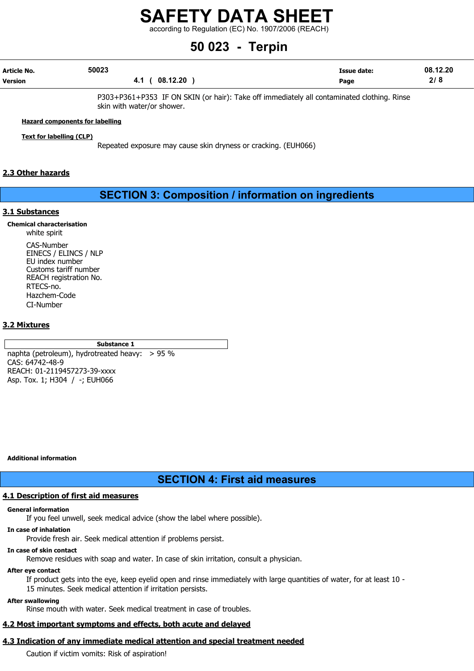according to Regulation (EC) No. 1907/2006 (REACH)

## 50 023 - Terpin

| Article No.    | 50023 |                 | <b>Issue date:</b> | 08.12.20 |
|----------------|-------|-----------------|--------------------|----------|
| <b>Version</b> |       | 08.12.20<br>4.1 | Page               | 2/8      |

P303+P361+P353 IF ON SKIN (or hair): Take off immediately all contaminated clothing. Rinse skin with water/or shower.

#### Hazard components for labelling

Text for labelling (CLP)

Repeated exposure may cause skin dryness or cracking. (EUH066)

## 2.3 Other hazards

## SECTION 3: Composition / information on ingredients

#### 3.1 Substances

### Chemical characterisation

white spirit

CAS-Number EINECS / ELINCS / NLP EU index number Customs tariff number REACH registration No. RTECS-no. Hazchem-Code CI-Number

## 3.2 Mixtures

### Substance 1

naphta (petroleum), hydrotreated heavy: > 95 % CAS: 64742-48-9 REACH: 01-2119457273-39-xxxx Asp. Tox. 1; H304 / -; EUH066

#### Additional information

## SECTION 4: First aid measures

#### 4.1 Description of first aid measures

#### General information

If you feel unwell, seek medical advice (show the label where possible).

### In case of inhalation

Provide fresh air. Seek medical attention if problems persist.

#### In case of skin contact

Remove residues with soap and water. In case of skin irritation, consult a physician.

#### After eye contact

If product gets into the eye, keep eyelid open and rinse immediately with large quantities of water, for at least 10 - 15 minutes. Seek medical attention if irritation persists.

#### After swallowing

Rinse mouth with water. Seek medical treatment in case of troubles.

## 4.2 Most important symptoms and effects, both acute and delayed

## 4.3 Indication of any immediate medical attention and special treatment needed

Caution if victim vomits: Risk of aspiration!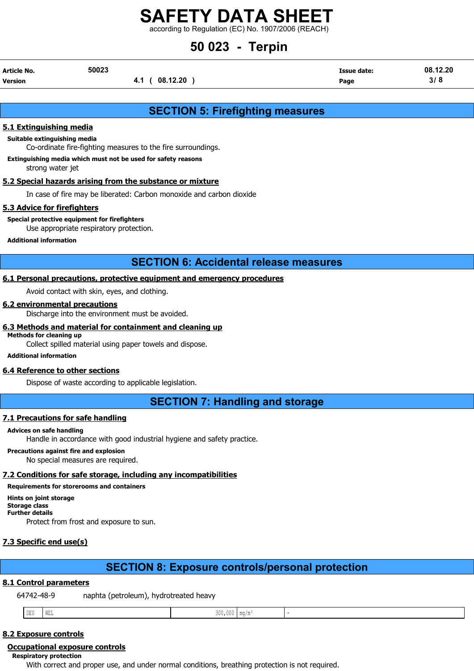according to Regulation (EC) No. 1907/2006 (REACH)

## 50 023 - Terpin

| Article No. | 50023          | <b>Issue date:</b> | 08.12.20 |
|-------------|----------------|--------------------|----------|
| Version     | 4.1 ( 08.12.20 | Page               | 3/8      |

## SECTION 5: Firefighting measures

## 5.1 Extinguishing media

### Suitable extinguishing media

Co-ordinate fire-fighting measures to the fire surroundings.

#### Extinguishing media which must not be used for safety reasons

strong water jet

## 5.2 Special hazards arising from the substance or mixture

In case of fire may be liberated: Carbon monoxide and carbon dioxide

### 5.3 Advice for firefighters

Special protective equipment for firefighters

Use appropriate respiratory protection.

#### Additional information

## SECTION 6: Accidental release measures

## 6.1 Personal precautions, protective equipment and emergency procedures

Avoid contact with skin, eyes, and clothing.

### 6.2 environmental precautions

Discharge into the environment must be avoided.

## 6.3 Methods and material for containment and cleaning up

## Methods for cleaning up

Collect spilled material using paper towels and dispose.

### Additional information

## 6.4 Reference to other sections

Dispose of waste according to applicable legislation.

SECTION 7: Handling and storage

## 7.1 Precautions for safe handling

#### Advices on safe handling

Handle in accordance with good industrial hygiene and safety practice.

#### Precautions against fire and explosion

No special measures are required.

## 7.2 Conditions for safe storage, including any incompatibilities

## Requirements for storerooms and containers

Hints on joint storage

Storage class Further details

Protect from frost and exposure to sun.

## 7.3 Specific end use(s)

## SECTION 8: Exposure controls/personal protection

## 8.1 Control parameters

64742-48-9 naphta (petroleum), hydrotreated heavy

| . . | the company's state of the company's<br>חת<br>IJЬ | $T_{\rm eff}$<br>wa | 0.00 |  |  |
|-----|---------------------------------------------------|---------------------|------|--|--|
|-----|---------------------------------------------------|---------------------|------|--|--|

## 8.2 Exposure controls

## Occupational exposure controls

Respiratory protection

With correct and proper use, and under normal conditions, breathing protection is not required.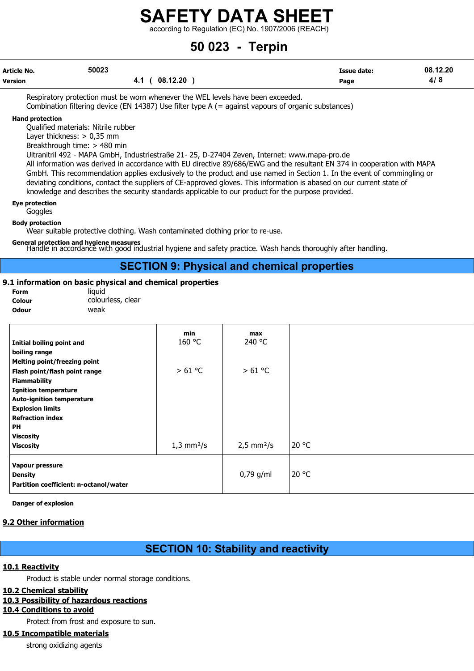according to Regulation (EC) No. 1907/2006 (REACH)

## 50 023 - Terpin

| Article No.    | 50023             | <b>Issue date:</b> | 08.12.20 |
|----------------|-------------------|--------------------|----------|
| <b>Version</b> | (08.12.20)<br>4.1 | Page               | 4/8      |

Respiratory protection must be worn whenever the WEL levels have been exceeded. Combination filtering device (EN 14387) Use filter type A (= against vapours of organic substances)

#### Hand protection

Qualified materials: Nitrile rubber

Layer thickness: > 0,35 mm

Breakthrough time: > 480 min

Ultranitril 492 - MAPA GmbH, Industriestraße 21- 25, D-27404 Zeven, Internet: www.mapa-pro.de

All information was derived in accordance with EU directive 89/686/EWG and the resultant EN 374 in cooperation with MAPA GmbH. This recommendation applies exclusively to the product and use named in Section 1. In the event of commingling or deviating conditions, contact the suppliers of CE-approved gloves. This information is abased on our current state of knowledge and describes the security standards applicable to our product for the purpose provided.

### Eye protection

Goggles

Body protection

Wear suitable protective clothing. Wash contaminated clothing prior to re-use.

General protection and hygiene measures<br>Handle in accordance with good industrial hygiene and safety practice. Wash hands thoroughly after handling.

## SECTION 9: Physical and chemical properties

## 9.1 information on basic physical and chemical properties

| Form   |  |
|--------|--|
| Colour |  |
| Odour  |  |

liquid colourless, clear weak

|                                        | min                         | max                         |       |
|----------------------------------------|-----------------------------|-----------------------------|-------|
| Initial boiling point and              | 160 °C                      | 240 °C                      |       |
| boiling range                          |                             |                             |       |
| <b>Melting point/freezing point</b>    |                             |                             |       |
| Flash point/flash point range          | > 61 °C                     | > 61 °C                     |       |
| <b>Flammability</b>                    |                             |                             |       |
| <b>Ignition temperature</b>            |                             |                             |       |
| <b>Auto-ignition temperature</b>       |                             |                             |       |
| <b>Explosion limits</b>                |                             |                             |       |
| <b>Refraction index</b>                |                             |                             |       |
| <b>PH</b>                              |                             |                             |       |
| <b>Viscosity</b>                       |                             |                             |       |
| <b>Viscosity</b>                       | $1,3 \text{ mm}^2/\text{s}$ | $2,5 \text{ mm}^2/\text{s}$ | 20 °C |
| Vapour pressure                        |                             |                             |       |
| <b>Density</b>                         |                             | $0,79$ g/ml                 | 20 °C |
| Partition coefficient: n-octanol/water |                             |                             |       |
|                                        |                             |                             |       |

Danger of explosion

## 9.2 Other information

## SECTION 10: Stability and reactivity

## 10.1 Reactivity

Product is stable under normal storage conditions.

## 10.2 Chemical stability

## 10.3 Possibility of hazardous reactions

## 10.4 Conditions to avoid

Protect from frost and exposure to sun.

## 10.5 Incompatible materials

strong oxidizing agents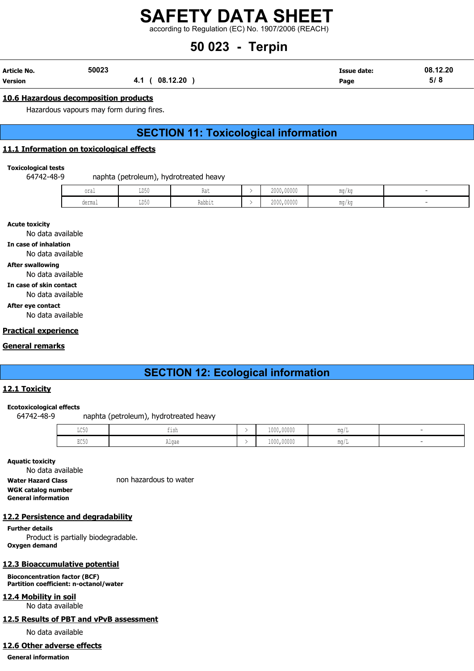according to Regulation (EC) No. 1907/2006 (REACH)

## 50 023 - Terpin

| Article No. | 50023 |                | <b>Issue date:</b> | 08.12.20 |
|-------------|-------|----------------|--------------------|----------|
| Version     |       | 4.1 ( 08.12.20 | Page               | 5/8      |

## 10.6 Hazardous decomposition products

Hazardous vapours may form during fires.

## SECTION 11: Toxicological information

## 11.1 Information on toxicological effects

Toxicological tests

64742-48-9 naphta (petroleum), hydrotreated heavy

| oral   | LD50 | <b>INA 6</b> | 2000,00000 | mg/kg |  |
|--------|------|--------------|------------|-------|--|
| dermal | LD50 | .<br>Rabbıt  | 2000,00000 | mg/kg |  |

Acute toxicity

No data available

In case of inhalation

No data available

After swallowing

No data available

In case of skin contact

No data available

After eye contact

No data available

## Practical experience

## General remarks

## SECTION 12: Ecological information

## 12.1 Toxicity

#### Ecotoxicological effects

64742-48-9 naphta (petroleum), hydrotreated heavy

| $-0.50$<br>カワクカ         | IlSN                   | 1000,00000 | MA AL             |  |
|-------------------------|------------------------|------------|-------------------|--|
| $P \cap E \cap$<br>LUJU | $\sim$ $\sim$<br>Alyde | 1000,00000 | <b>MA OH</b><br>- |  |

Aquatic toxicity

No data available Water Hazard Class non hazardous to water WGK catalog number General information

## 12.2 Persistence and degradability

Further details Product is partially biodegradable. Oxygen demand

## 12.3 Bioaccumulative potential

Bioconcentration factor (BCF) Partition coefficient: n-octanol/water

## 12.4 Mobility in soil

No data available

## 12.5 Results of PBT and vPvB assessment

No data available

## 12.6 Other adverse effects

General information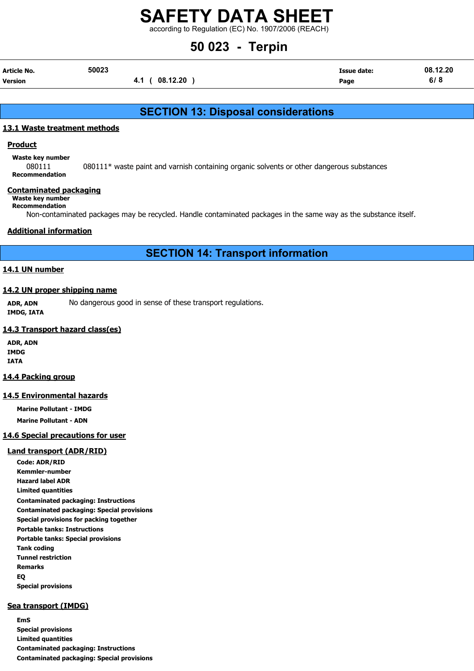according to Regulation (EC) No. 1907/2006 (REACH)

## 50 023 - Terpin

| Article No. | 50023 |                 | <b>Issue date:</b> | 08.12.20 |
|-------------|-------|-----------------|--------------------|----------|
| Version     |       | 08.12.20<br>4.1 | Page               | 6/8      |

## SECTION 13: Disposal considerations

## 13.1 Waste treatment methods

## Product

Waste key number

080111 080111\* waste paint and varnish containing organic solvents or other dangerous substances Recommendation

### Contaminated packaging

## Waste key number

Recommendation

Non-contaminated packages may be recycled. Handle contaminated packages in the same way as the substance itself.

## Additional information

SECTION 14: Transport information

## 14.1 UN number

### 14.2 UN proper shipping name

ADR, ADN No dangerous good in sense of these transport regulations. IMDG, IATA

### 14.3 Transport hazard class(es)

ADR, ADN IMDG IATA

#### 14.4 Packing group

## 14.5 Environmental hazards

Marine Pollutant - IMDG Marine Pollutant - ADN

## 14.6 Special precautions for user

## Land transport (ADR/RID)

Code: ADR/RID Kemmler-number Hazard label ADR Limited quantities Contaminated packaging: Instructions Contaminated packaging: Special provisions Special provisions for packing together Portable tanks: Instructions Portable tanks: Special provisions Tank coding Tunnel restriction Remarks EQ Special provisions

## Sea transport (IMDG)

EmS Special provisions Limited quantities Contaminated packaging: Instructions Contaminated packaging: Special provisions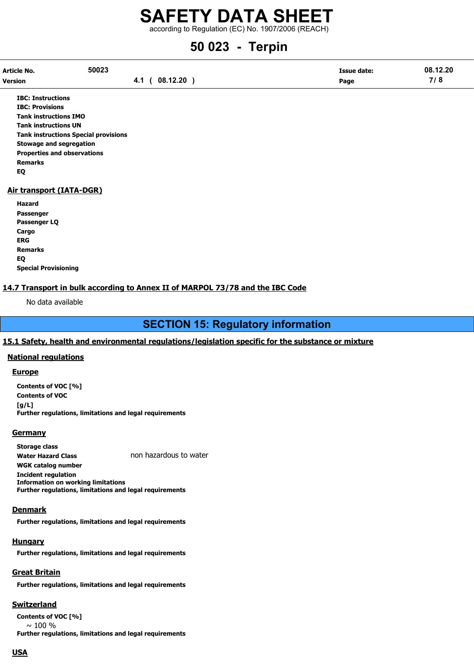according to Regulation (EC) No. 1907/2006 (REACH)

# 50 023 - Terpin

| Article No. | 50023 |                | <b>Issue date:</b> | 08.12.20 |
|-------------|-------|----------------|--------------------|----------|
| Version     |       | 4.1 ( 08.12.20 | Page               | 7/8      |

IBC: Instructions IBC: Provisions Tank instructions IMO Tank instructions UN Tank instructions Special provisions Stowage and segregation Properties and observations Remarks EQ

## Air transport (IATA-DGR)

Hazard Passenger Passenger LQ Cargo ERG Remarks EQ Special Provisioning

## 14.7 Transport in bulk according to Annex II of MARPOL 73/78 and the IBC Code

No data available

## SECTION 15: Regulatory information

## 15.1 Safety, health and environmental regulations/legislation specific for the substance or mixture

#### National regulations

#### **Europe**

Contents of VOC [%] Contents of VOC  $[q/L]$ Further regulations, limitations and legal requirements

#### **Germany**

Storage class Water Hazard Class non hazardous to water WGK catalog number Incident regulation Information on working limitations Further regulations, limitations and legal requirements

### **Denmark**

Further regulations, limitations and legal requirements

#### **Hungary**

Further regulations, limitations and legal requirements

## Great Britain

Further regulations, limitations and legal requirements

## **Switzerland**

Contents of VOC [%]  $\sim$  100 % Further regulations, limitations and legal requirements